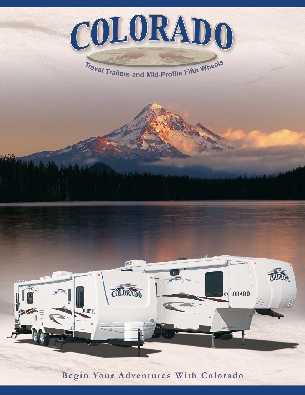

**Begin Your Adventures With Colorado**

COLORADO

**COLORADO** 

**TORIT** 

**CCLORADO**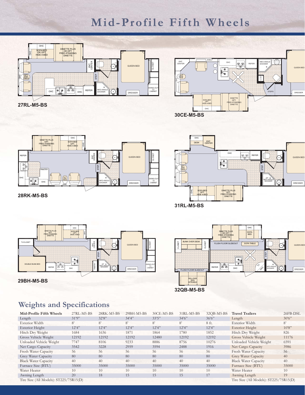# **Mid-Profile Fifth Wheels**







**28RK-M5-BS**







# **Weights and Specifications**

| Mid-Profile Fifth Wheels                 | $27RL-M5-BS$ | 28RK-M5-BS | 29BH-M5-BS | 30CE-M5-BS  | $31RL-M5-BS$                 | 32QB-M5-BS | <b>Travel Trailers</b>                   | 26FB-DSL       |
|------------------------------------------|--------------|------------|------------|-------------|------------------------------|------------|------------------------------------------|----------------|
| Length                                   | 31'9''       | 32'8''     | 34'4''     | 33'5''      | $34^{\circ}6^{\prime\prime}$ | 36'6''     | Length                                   | $30^{\circ}6"$ |
| Exterior Width                           | 8'           | 8'         | 8'         | $8^{\circ}$ | 8'                           | 8 ft.      | Exterior Width                           | 8'             |
| Exterior Height                          | 12'4''       | 12'4''     | 12'4''     | 12'4''      | 12'4''                       | 12'4''     | Exterior Height                          | 10'8''         |
| Hitch Dry Weight                         | 1684         | 1636       | 1871       | 1864        | 1780                         | 1852       | Hitch Dry Weight                         | 826            |
| Gross Vehicle Weight                     | 12192        | 12192      | 12192      | 12480       | 12192                        | 12192      | Gross Vehicle Weight                     | 11176          |
| Unloaded Vehicle Weight                  | 7747         | 8106       | 9233       | 8886        | 8756                         | 10276      | Unloaded Vehicle Weight                  | 6591           |
| Net Cargo Capacity                       | 3542         | 3228       | 2959       | 3594        | 2488                         | 1916       | Net Cargo Capacity                       | 3986           |
| Fresh Water Capacity                     | 56           | 56         | 56         | 56          | 56                           | 56         | Fresh Water Capacity                     | 56             |
| Grey Water Capacity                      | 80           | 80         | 80         | 80          | 80                           | 80         | Grey Water Capacity                      | 40             |
| <b>Black Water Capacity</b>              | 40           | 40         | 40         | 40          | 40                           | 40         | <b>Black Water Capacity</b>              | 40             |
| Furnace Size (BTU)                       | 35000        | 35000      | 35000      | 35000       | 35000                        | 35000      | Furnace Size (BTU)                       | 35000          |
| Water Heater                             | 10           | 10         | 10         | 10          | 10                           | 10         | Water Heater                             | 10             |
| Awning Length                            | 20           | 18         | 15         | 15          | 15                           | 17         | Awning Length                            | 19             |
| Tire Size (All Models): $ST225/75R15(D)$ |              |            |            |             |                              |            | Tire Size (All Models): $ST225/75R15(D)$ |                |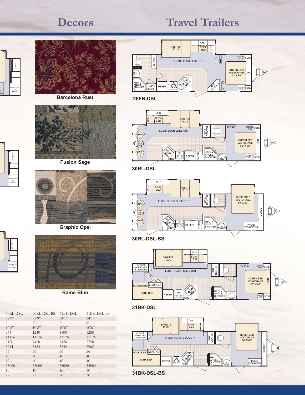# **Decors**

# **Travel Trailers**



CLOSET

SWING-OUT TV CABINET

NS

D

NS

CLOSET

SWING-OUT TV CABINET



**Barcelona Rust**



**Fusion Sage**



**Graphic Opal**



**Raine Blue**

| 30RL-DSL | 30RL-DSL-BS | 31BK-DSL | 31BK-DSL-BS |
|----------|-------------|----------|-------------|
| 32'9''   | 32'9''      | 34'11''  | 34'11''     |
| 8'       | 8'          | 8'       | 8'          |
| 10'8"    | 10'8"       | 10'8"    | 10'8"       |
| 944      | 1240        | 1100     | 1288        |
| 11176    | 11176       | 11176    | 11176       |
| 7120     | 7420        | 7458     | 7758        |
| 3644     | 3184        | 3244     | 2962        |
| 56       | 56          | 56       | 56          |
| 40       | 40          | 40       | 40          |
| 40       | 40          | 40       | 40          |
| 35000    | 35000       | 35000    | 35000       |
| 10       | 10          | 10       | 10          |
| 22       | 22          | 20       | 20          |



**26FB-DSL**



**30RL-DSL**



FLUSH FLOOR SLIDE-OUT OHC SOFA<br>BED DINETTE | SUFF<br>|PLUS| | BED TV TRAY ENTE<br>GENTE CLOSET RUN AND CLOSET RELATIONS ON THE CLOSE OF STATE CONTRACT ON THE CLOSE OF STATE CLOSE OF STATE CLOSE CLOSE OF STATE CLOSE CLOSE CLOSE CLOSE CLOSE CLOSE CLOSE CLOSE CLOSE CLOSE CLOSE CLOSE CLOSE CLOSE CLOSE CLOSE CLOSE **STORAGE** SC/NS



**31BK-DSL**